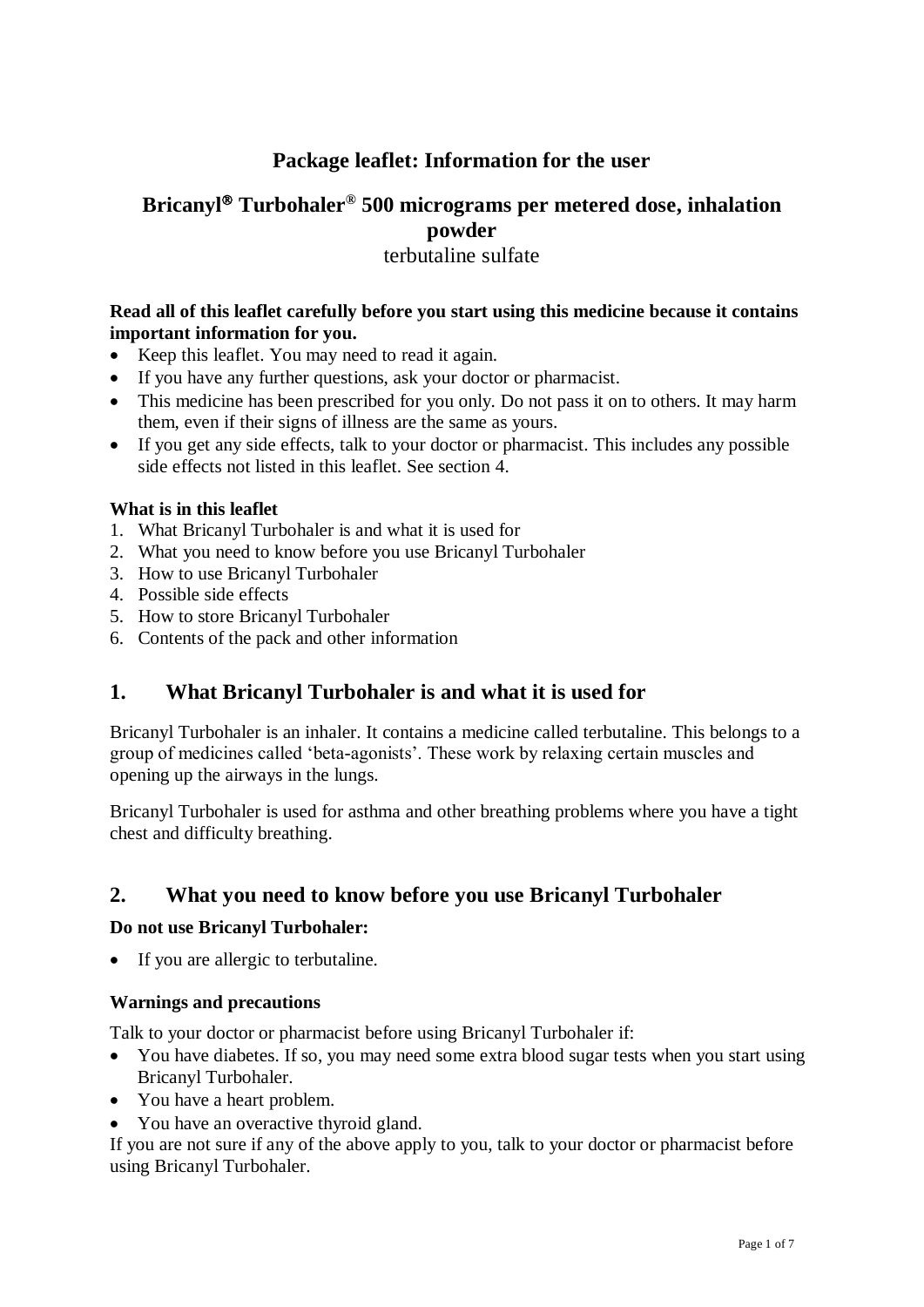# **Package leaflet: Information for the user**

# **Bricanyl Turbohaler® 500 micrograms per metered dose, inhalation powder**

### terbutaline sulfate

### **Read all of this leaflet carefully before you start using this medicine because it contains important information for you.**

- Keep this leaflet. You may need to read it again.
- If you have any further questions, ask your doctor or pharmacist.
- This medicine has been prescribed for you only. Do not pass it on to others. It may harm them, even if their signs of illness are the same as yours.
- If you get any side effects, talk to your doctor or pharmacist. This includes any possible side effects not listed in this leaflet. See section 4.

### **What is in this leaflet**

- 1. What Bricanyl Turbohaler is and what it is used for
- 2. What you need to know before you use Bricanyl Turbohaler
- 3. How to use Bricanyl Turbohaler
- 4. Possible side effects
- 5. How to store Bricanyl Turbohaler
- 6. Contents of the pack and other information

# **1. What Bricanyl Turbohaler is and what it is used for**

Bricanyl Turbohaler is an inhaler. It contains a medicine called terbutaline. This belongs to a group of medicines called 'beta-agonists'. These work by relaxing certain muscles and opening up the airways in the lungs.

Bricanyl Turbohaler is used for asthma and other breathing problems where you have a tight chest and difficulty breathing.

# **2. What you need to know before you use Bricanyl Turbohaler**

### **Do not use Bricanyl Turbohaler:**

• If you are allergic to terbutaline.

### **Warnings and precautions**

Talk to your doctor or pharmacist before using Bricanyl Turbohaler if:

- You have diabetes. If so, you may need some extra blood sugar tests when you start using Bricanyl Turbohaler.
- You have a heart problem.
- You have an overactive thyroid gland.

If you are not sure if any of the above apply to you, talk to your doctor or pharmacist before using Bricanyl Turbohaler.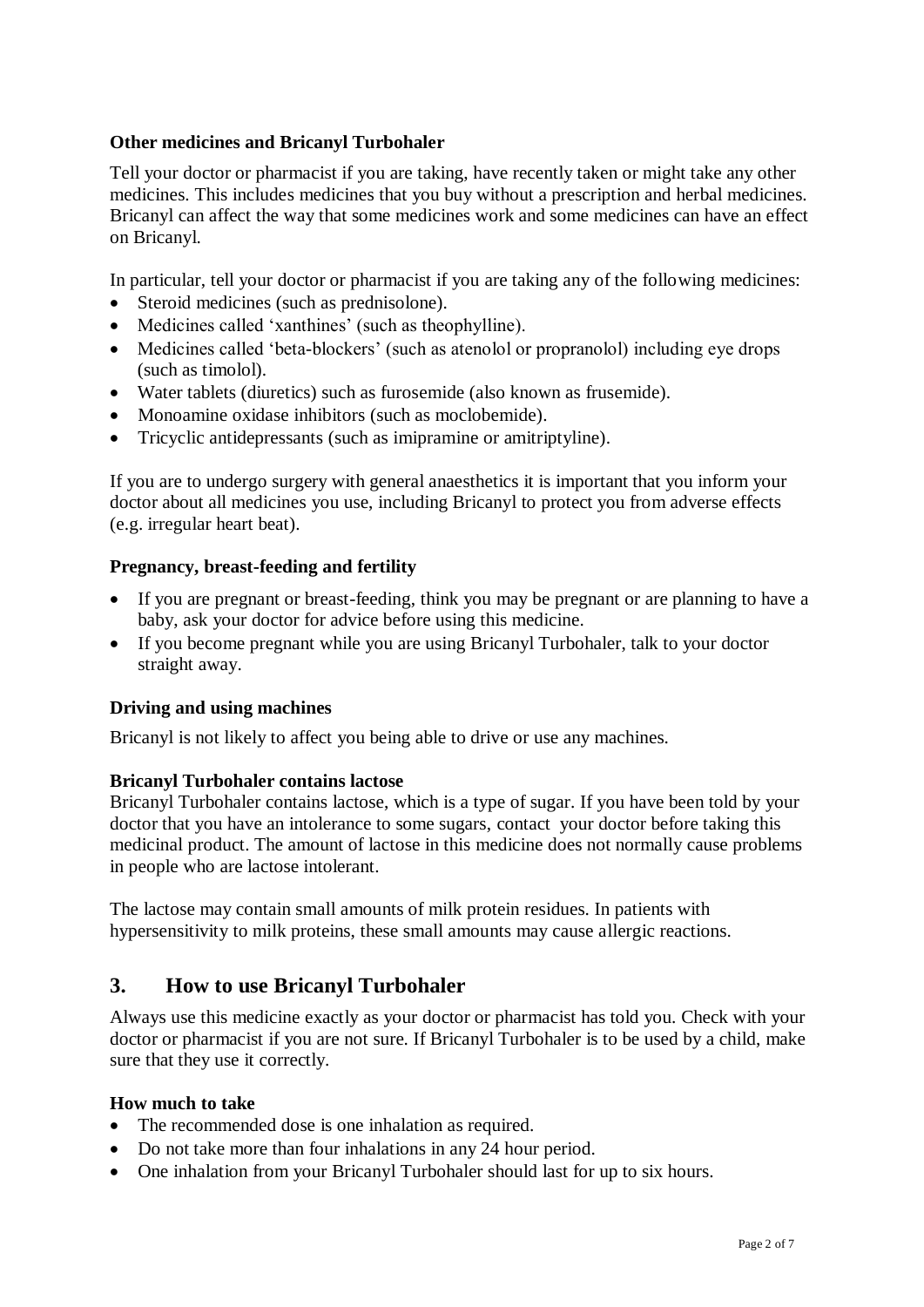### **Other medicines and Bricanyl Turbohaler**

Tell your doctor or pharmacist if you are taking, have recently taken or might take any other medicines. This includes medicines that you buy without a prescription and herbal medicines. Bricanyl can affect the way that some medicines work and some medicines can have an effect on Bricanyl.

In particular, tell your doctor or pharmacist if you are taking any of the following medicines:

- Steroid medicines (such as prednisolone).
- Medicines called 'xanthines' (such as theophylline).
- Medicines called 'beta-blockers' (such as atenolol or propranolol) including eye drops (such as timolol).
- Water tablets (diuretics) such as furosemide (also known as frusemide).
- Monoamine oxidase inhibitors (such as moclobemide).
- Tricyclic antidepressants (such as imipramine or amitriptyline).

If you are to undergo surgery with general anaesthetics it is important that you inform your doctor about all medicines you use, including Bricanyl to protect you from adverse effects (e.g. irregular heart beat).

#### **Pregnancy, breast-feeding and fertility**

- If you are pregnant or breast-feeding, think you may be pregnant or are planning to have a baby, ask your doctor for advice before using this medicine.
- If you become pregnant while you are using Bricanyl Turbohaler, talk to your doctor straight away.

#### **Driving and using machines**

Bricanyl is not likely to affect you being able to drive or use any machines.

#### **Bricanyl Turbohaler contains lactose**

Bricanyl Turbohaler contains lactose, which is a type of sugar. If you have been told by your doctor that you have an intolerance to some sugars, contact your doctor before taking this medicinal product. The amount of lactose in this medicine does not normally cause problems in people who are lactose intolerant.

The lactose may contain small amounts of milk protein residues. In patients with hypersensitivity to milk proteins, these small amounts may cause allergic reactions.

### **3. How to use Bricanyl Turbohaler**

Always use this medicine exactly as your doctor or pharmacist has told you. Check with your doctor or pharmacist if you are not sure. If Bricanyl Turbohaler is to be used by a child, make sure that they use it correctly.

### **How much to take**

- The recommended dose is one inhalation as required.
- Do not take more than four inhalations in any 24 hour period.
- One inhalation from your Bricanyl Turbohaler should last for up to six hours.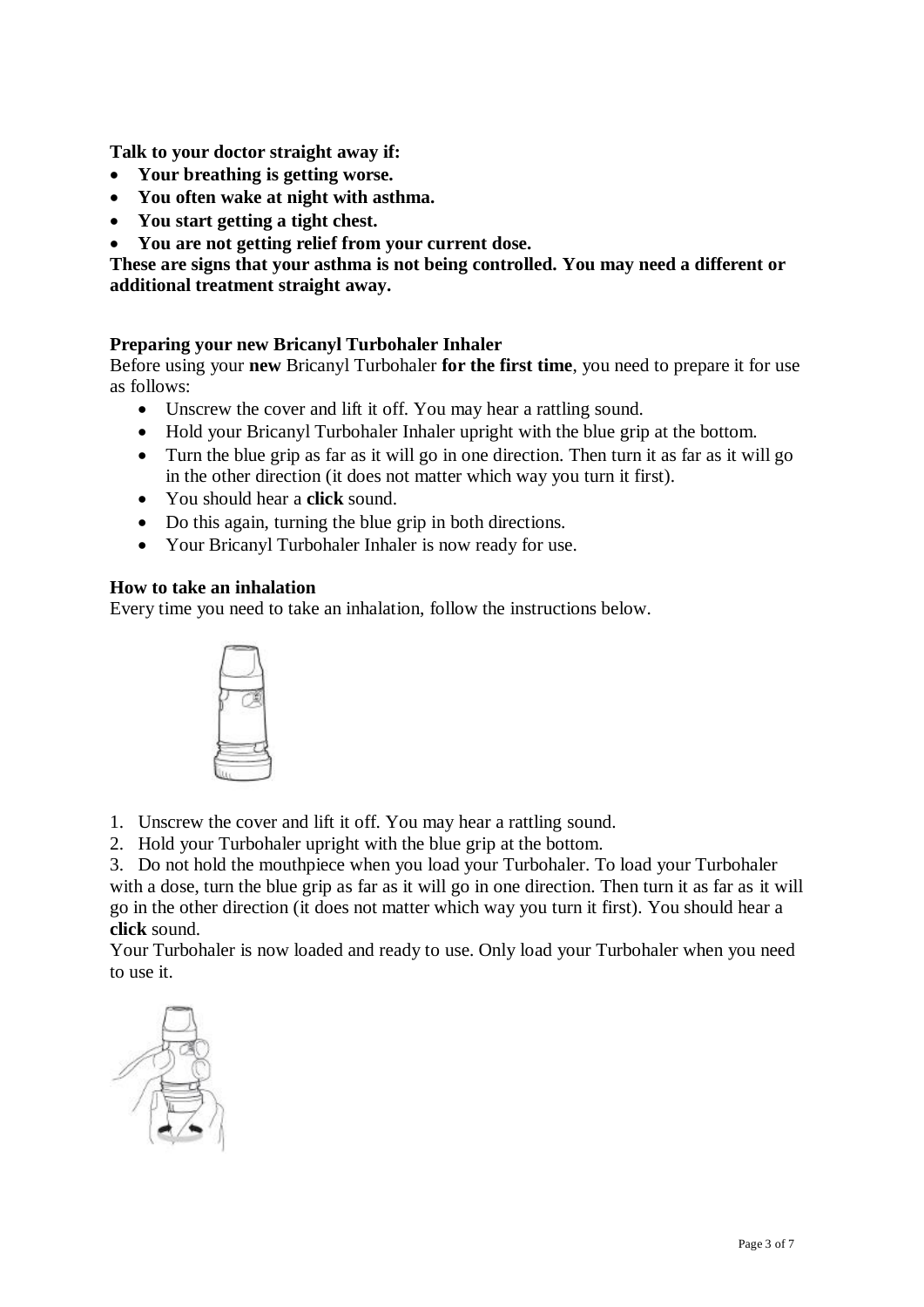**Talk to your doctor straight away if:**

- **Your breathing is getting worse.**
- **You often wake at night with asthma.**
- **You start getting a tight chest.**
- **You are not getting relief from your current dose.**

**These are signs that your asthma is not being controlled. You may need a different or additional treatment straight away.**

### **Preparing your new Bricanyl Turbohaler Inhaler**

Before using your **new** Bricanyl Turbohaler **for the first time**, you need to prepare it for use as follows:

- Unscrew the cover and lift it off. You may hear a rattling sound.
- Hold your Bricanyl Turbohaler Inhaler upright with the blue grip at the bottom.
- Turn the blue grip as far as it will go in one direction. Then turn it as far as it will go in the other direction (it does not matter which way you turn it first).
- You should hear a **click** sound.
- Do this again, turning the blue grip in both directions.
- Your Bricanyl Turbohaler Inhaler is now ready for use.

### **How to take an inhalation**

Every time you need to take an inhalation, follow the instructions below.



- 1. Unscrew the cover and lift it off. You may hear a rattling sound.
- 2. Hold your Turbohaler upright with the blue grip at the bottom.

3. Do not hold the mouthpiece when you load your Turbohaler. To load your Turbohaler with a dose, turn the blue grip as far as it will go in one direction. Then turn it as far as it will go in the other direction (it does not matter which way you turn it first). You should hear a **click** sound.

Your Turbohaler is now loaded and ready to use. Only load your Turbohaler when you need to use it.

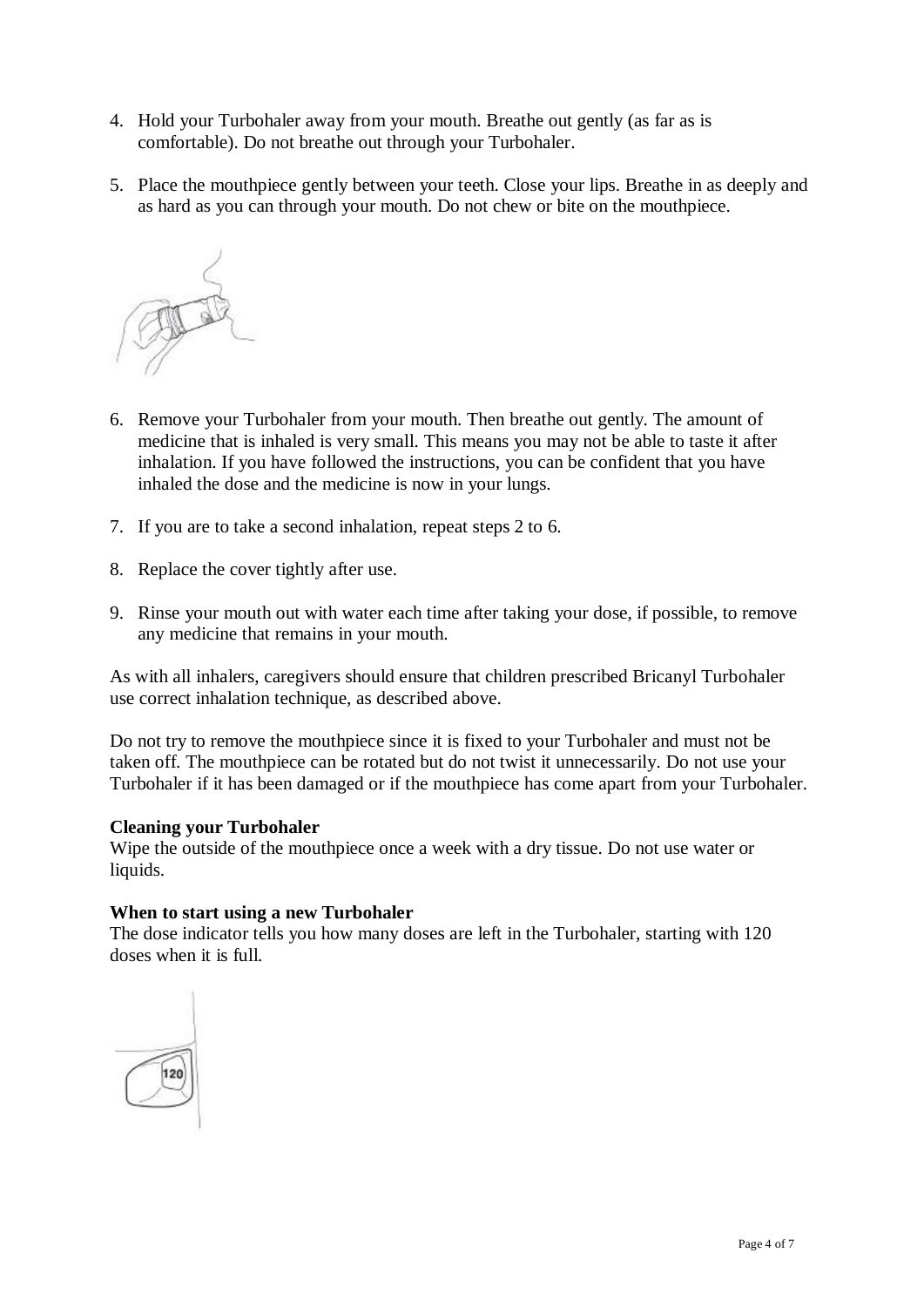- 4. Hold your Turbohaler away from your mouth. Breathe out gently (as far as is comfortable). Do not breathe out through your Turbohaler.
- 5. Place the mouthpiece gently between your teeth. Close your lips. Breathe in as deeply and as hard as you can through your mouth. Do not chew or bite on the mouthpiece.



- 6. Remove your Turbohaler from your mouth. Then breathe out gently. The amount of medicine that is inhaled is very small. This means you may not be able to taste it after inhalation. If you have followed the instructions, you can be confident that you have inhaled the dose and the medicine is now in your lungs.
- 7. If you are to take a second inhalation, repeat steps 2 to 6.
- 8. Replace the cover tightly after use.
- 9. Rinse your mouth out with water each time after taking your dose, if possible, to remove any medicine that remains in your mouth.

As with all inhalers, caregivers should ensure that children prescribed Bricanyl Turbohaler use correct inhalation technique, as described above.

Do not try to remove the mouthpiece since it is fixed to your Turbohaler and must not be taken off. The mouthpiece can be rotated but do not twist it unnecessarily. Do not use your Turbohaler if it has been damaged or if the mouthpiece has come apart from your Turbohaler.

### **Cleaning your Turbohaler**

Wipe the outside of the mouthpiece once a week with a dry tissue. Do not use water or liquids.

### **When to start using a new Turbohaler**

The dose indicator tells you how many doses are left in the Turbohaler, starting with 120 doses when it is full.

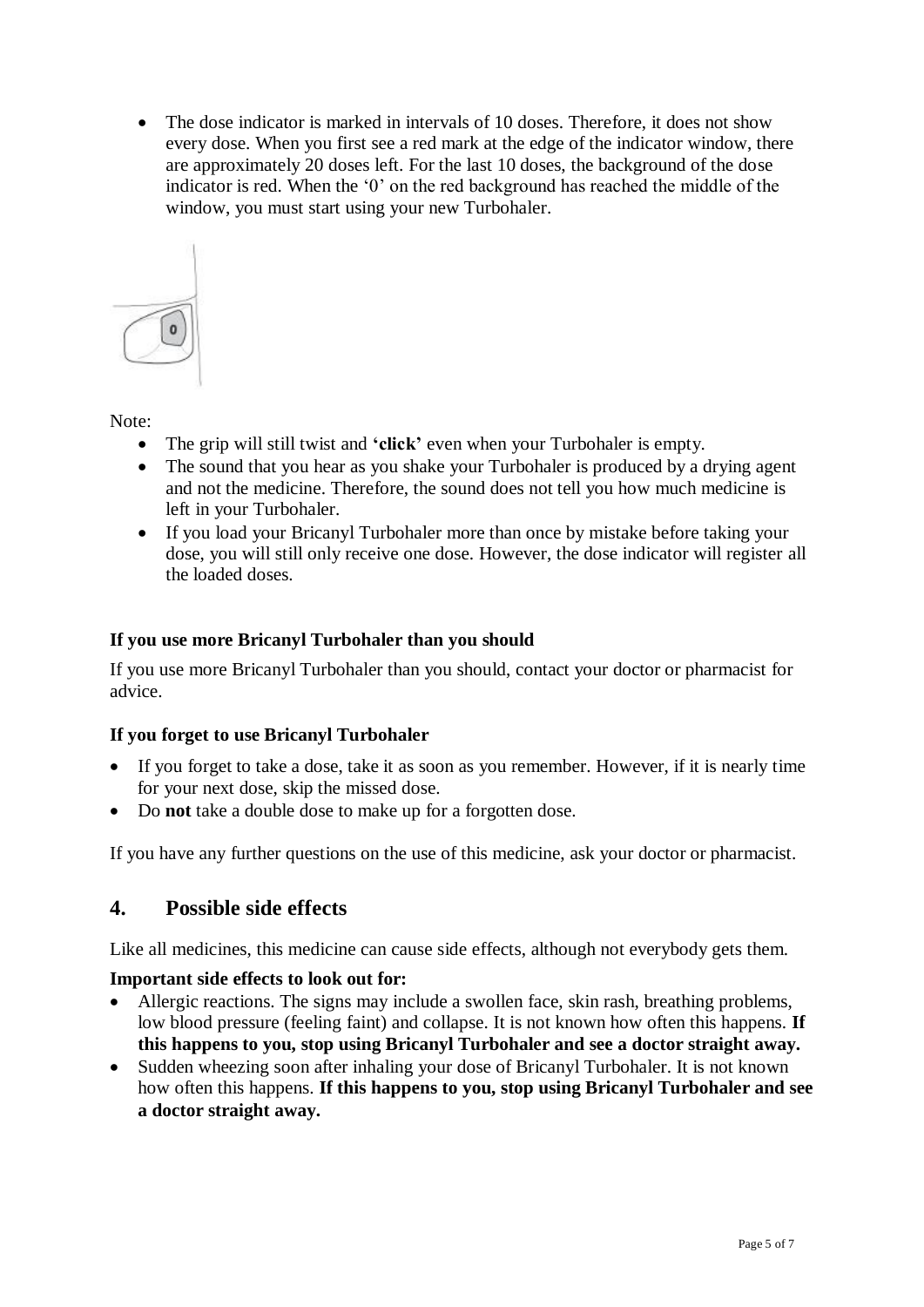• The dose indicator is marked in intervals of 10 doses. Therefore, it does not show every dose. When you first see a red mark at the edge of the indicator window, there are approximately 20 doses left. For the last 10 doses, the background of the dose indicator is red. When the '0' on the red background has reached the middle of the window, you must start using your new Turbohaler.



Note:

- The grip will still twist and **'click'** even when your Turbohaler is empty.
- The sound that you hear as you shake your Turbohaler is produced by a drying agent and not the medicine. Therefore, the sound does not tell you how much medicine is left in your Turbohaler.
- If you load your Bricanyl Turbohaler more than once by mistake before taking your dose, you will still only receive one dose. However, the dose indicator will register all the loaded doses.

### **If you use more Bricanyl Turbohaler than you should**

If you use more Bricanyl Turbohaler than you should, contact your doctor or pharmacist for advice.

### **If you forget to use Bricanyl Turbohaler**

- If you forget to take a dose, take it as soon as you remember. However, if it is nearly time for your next dose, skip the missed dose.
- Do **not** take a double dose to make up for a forgotten dose.

If you have any further questions on the use of this medicine, ask your doctor or pharmacist.

### **4. Possible side effects**

Like all medicines, this medicine can cause side effects, although not everybody gets them.

### **Important side effects to look out for:**

- Allergic reactions. The signs may include a swollen face, skin rash, breathing problems, low blood pressure (feeling faint) and collapse. It is not known how often this happens. **If this happens to you, stop using Bricanyl Turbohaler and see a doctor straight away.**
- Sudden wheezing soon after inhaling your dose of Bricanyl Turbohaler. It is not known how often this happens. **If this happens to you, stop using Bricanyl Turbohaler and see a doctor straight away.**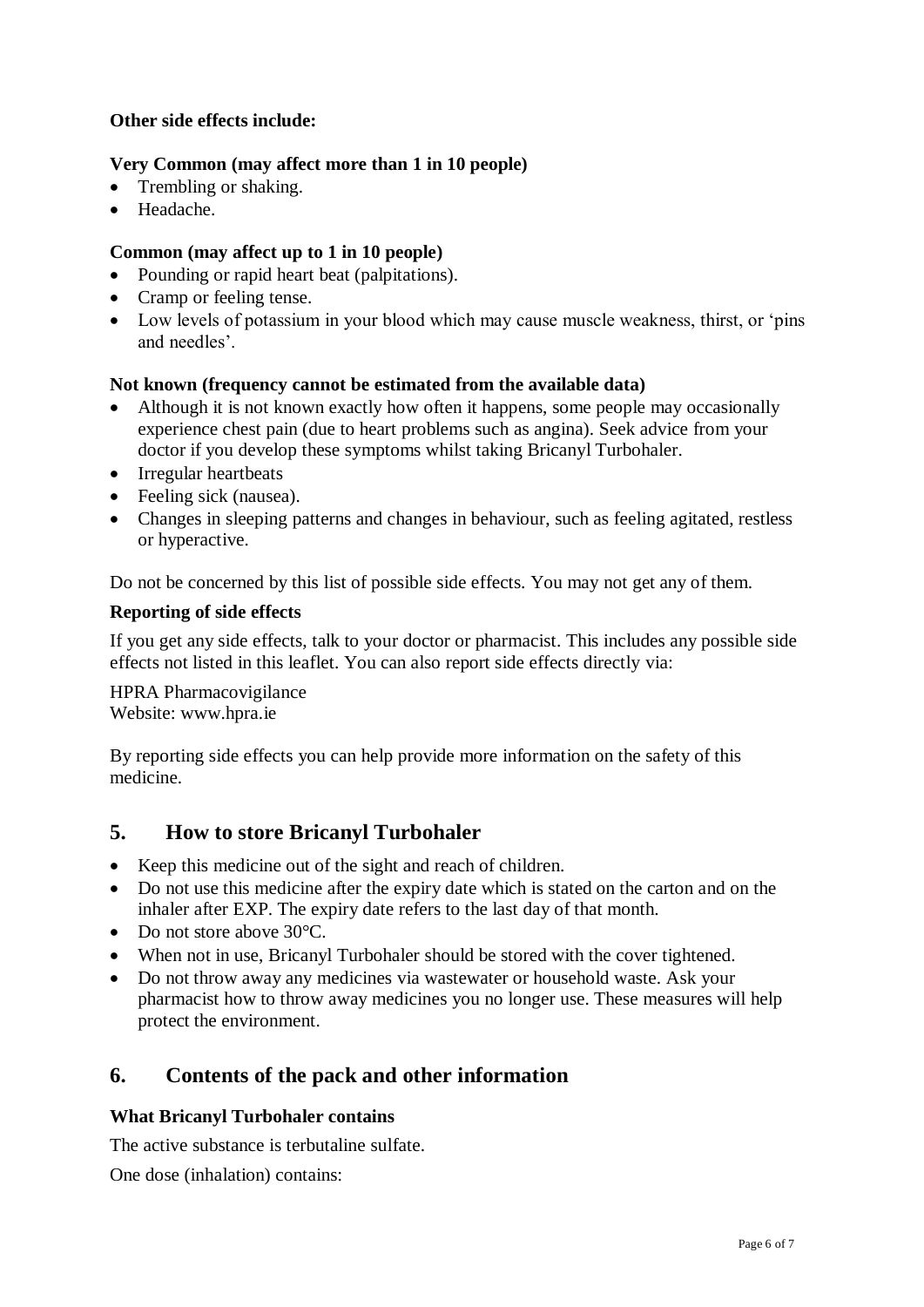### **Other side effects include:**

### **Very Common (may affect more than 1 in 10 people)**

- Trembling or shaking.
- Headache.

### **Common (may affect up to 1 in 10 people)**

- Pounding or rapid heart beat (palpitations).
- Cramp or feeling tense.
- Low levels of potassium in your blood which may cause muscle weakness, thirst, or 'pins and needles'.

### **Not known (frequency cannot be estimated from the available data)**

- Although it is not known exactly how often it happens, some people may occasionally experience chest pain (due to heart problems such as angina). Seek advice from your doctor if you develop these symptoms whilst taking Bricanyl Turbohaler.
- Irregular heartbeats
- Feeling sick (nausea).
- Changes in sleeping patterns and changes in behaviour, such as feeling agitated, restless or hyperactive.

Do not be concerned by this list of possible side effects. You may not get any of them.

### **Reporting of side effects**

If you get any side effects, talk to your doctor or pharmacist. This includes any possible side effects not listed in this leaflet. You can also report side effects directly via:

HPRA Pharmacovigilance Website: [www.hpra.ie](http://www.hpra.ie/)

By reporting side effects you can help provide more information on the safety of this medicine.

### **5. How to store Bricanyl Turbohaler**

- Keep this medicine out of the sight and reach of children.
- Do not use this medicine after the expiry date which is stated on the carton and on the inhaler after EXP. The expiry date refers to the last day of that month.
- Do not store above 30°C.
- When not in use, Bricanyl Turbohaler should be stored with the cover tightened.
- Do not throw away any medicines via wastewater or household waste. Ask your pharmacist how to throw away medicines you no longer use. These measures will help protect the environment.

# **6. Contents of the pack and other information**

### **What Bricanyl Turbohaler contains**

The active substance is terbutaline sulfate.

One dose (inhalation) contains: